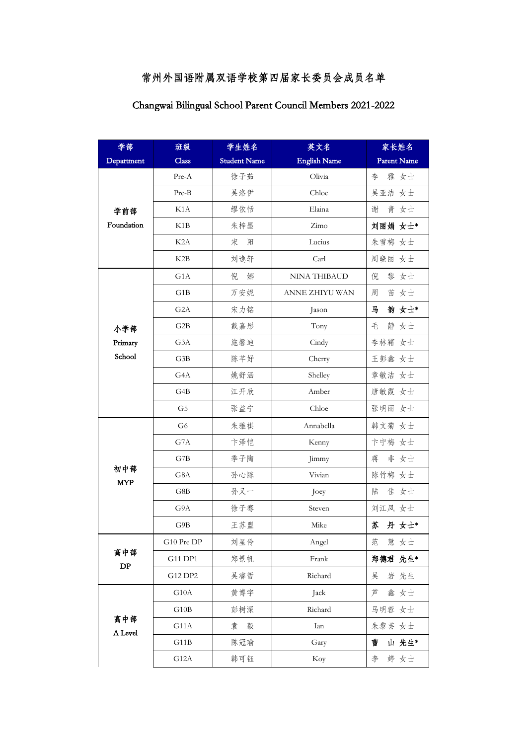## 常州外国语附属双语学校第四届家长委员会成员名单

| 学部                            | 班级               | 学生姓名                | 英文名                 | 家长姓名               |
|-------------------------------|------------------|---------------------|---------------------|--------------------|
| Department                    | Class            | <b>Student Name</b> | <b>English Name</b> | <b>Parent Name</b> |
| 学前部<br>Foundation             | Pre-A            | 徐子茹                 | Olivia              | 李<br>雅 女士          |
|                               | $Pre-B$          | 吴洛伊                 | Chloe               | 吴亚洁 女士             |
|                               | K1A              | 缪依恬                 | Elaina              | 谢<br>青<br>女士       |
|                               | K1B              | 朱梓墨                 | Zimo                | 刘丽娟 女士*            |
|                               | K <sub>2</sub> A | 宋<br>阳              | Lucius              | 朱雪梅 女士             |
|                               | K2B              | 刘逸轩                 | Carl                | 周晓丽 女士             |
| 小学部                           | G1A              | 倪<br>娜              | <b>NINA THIBAUD</b> | 黎 女士<br>倪          |
|                               | G1B              | 万安妮                 | ANNE ZHIYU WAN      | 周<br>苗<br>女士       |
|                               | G2A              | 宋力铭                 | Jason               | 韵 女士*<br>马         |
|                               | G2B              | 戴嘉彤                 | Tony                | 毛<br>女士<br>静       |
| Primary                       | G <sub>3</sub> A | 施馨迪                 | Cindy               | 李林霜<br>女士          |
| School                        | G3B              | 陈芊妤                 | Cherry              | 王彭鑫 女士             |
|                               | G4A              | 姚舒涵                 | Shelley             | 章敏洁 女士             |
|                               | G4B              | 江开欣                 | Amber               | 唐敏霞 女士             |
|                               | G <sub>5</sub>   | 张益宁                 | Chloe               | 张明丽 女士             |
|                               | G <sub>6</sub>   | 朱雅祺                 | Annabella           | 韩文菊 女士             |
|                               | G7A              | 卞泽恺                 | Kenny               | 卞宁梅 女士             |
|                               | G7B              | 季子陶                 | Jimmy               | 蒋<br>非 女士          |
| 初中部<br><b>MYP</b>             | G8A              | 孙心陈                 | Vivian              | 陈竹梅 女士             |
|                               | G8B              | 孙又一                 | Joey                | 陆<br>佳 女士          |
|                               | G9A              | 徐子骞                 | Steven              | 刘江凤 女士             |
|                               | G9B              | 王苏盟                 | Mike                | 苏<br>丹 女士*         |
| 高中部<br>$\mathbf{D}\mathbf{P}$ | G10 Pre DP       | 刘星伶                 | Angel               | 范<br>慧 女士          |
|                               | G11 DP1          | 郑景帆                 | Frank               | 郑德君 先生*            |
|                               | G12 DP2          | 吴睿哲                 | Richard             | 吴<br>岩 先生          |
| 高中部<br>A Level                | G10A             | 黄博宇                 | Jack                | 芦<br>鑫 女士          |
|                               | G10B             | 彭树深                 | Richard             | 马明蓉 女士             |
|                               | G11A             | 袁<br>毅              | Ian                 | 朱黎芸 女士             |
|                               | G11B             | 陈冠瑜                 | Gary                | 山 先生*<br>曹         |
|                               | G12A             | 韩可钰                 | Koy                 | 婷 女士<br>李          |

## Changwai Bilingual School Parent Council Members 2021-2022